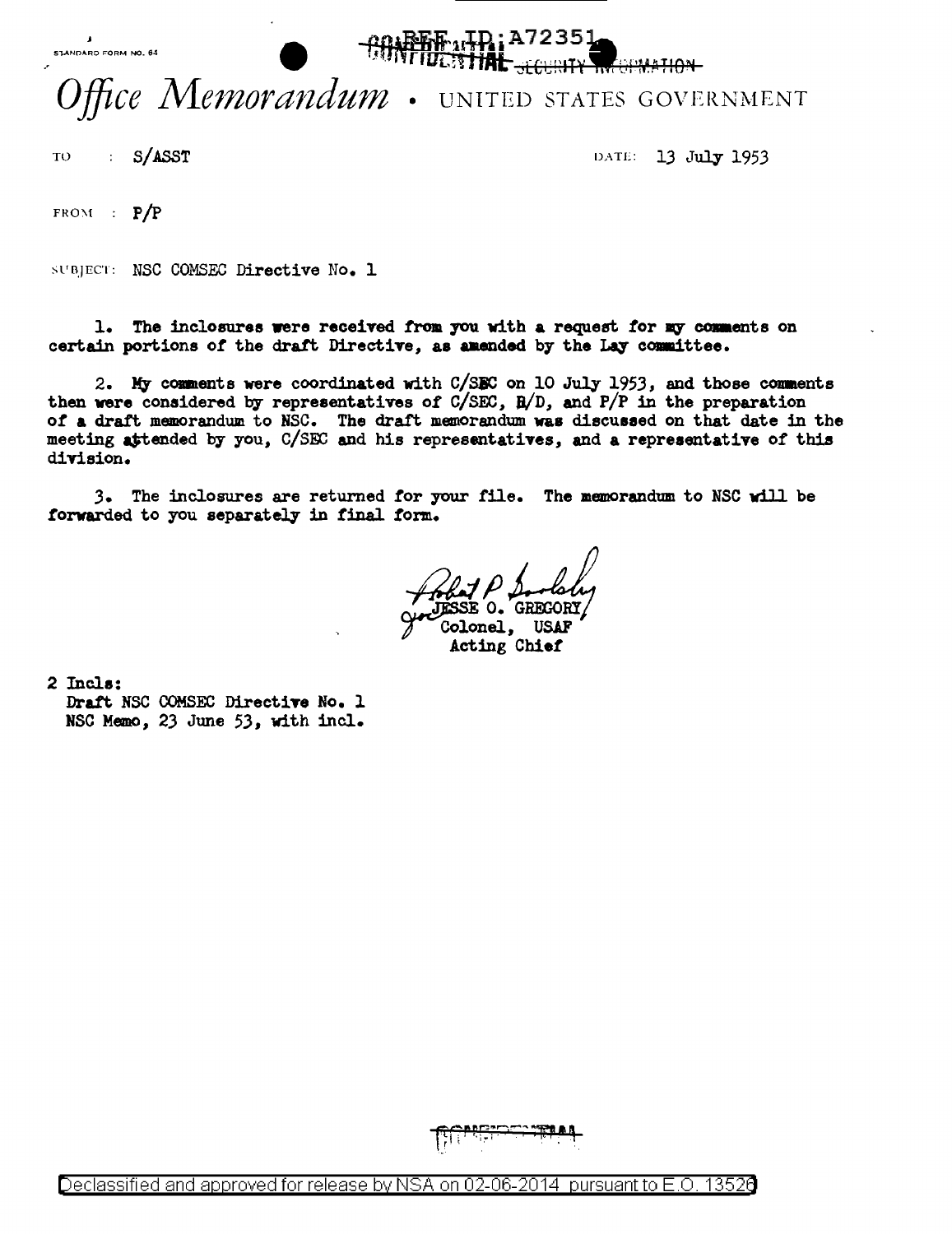STANDARD FORM NO. 64



## Office Memorandum . UNITED STATES GOVERNMENT

TO : S/ASST DATE: 13 July 1953

FROM :  $P/P$ 

SUBJECT: NSC COMSEC Directive No. 1

1. The inclosures were received from you with a request for my comments on certain portions of the draft Directive, as amended by the Lay committee.

2. My comments were coordinated with  $C/SEC$  on 10 July 1953, and those comments then were considered by representatives of  $C/SEC$ ,  $B/D$ , and  $P/P$  in the preparation *ot* a draft memorandum to NSC. The draft memorandum was discuseed on that date in the meeting attended by you, C/SEC and his representatives, and a representative of this division.

3. The inclosures are returned for your file. The memorandum to NSC will be forwarded to you separately in final form.

Colonel, USAF<br>- Acting Chief

2 Incle:

Draft NSC COMSEC Directive No. 1 HSC Memo, 23 June 53, with incl.

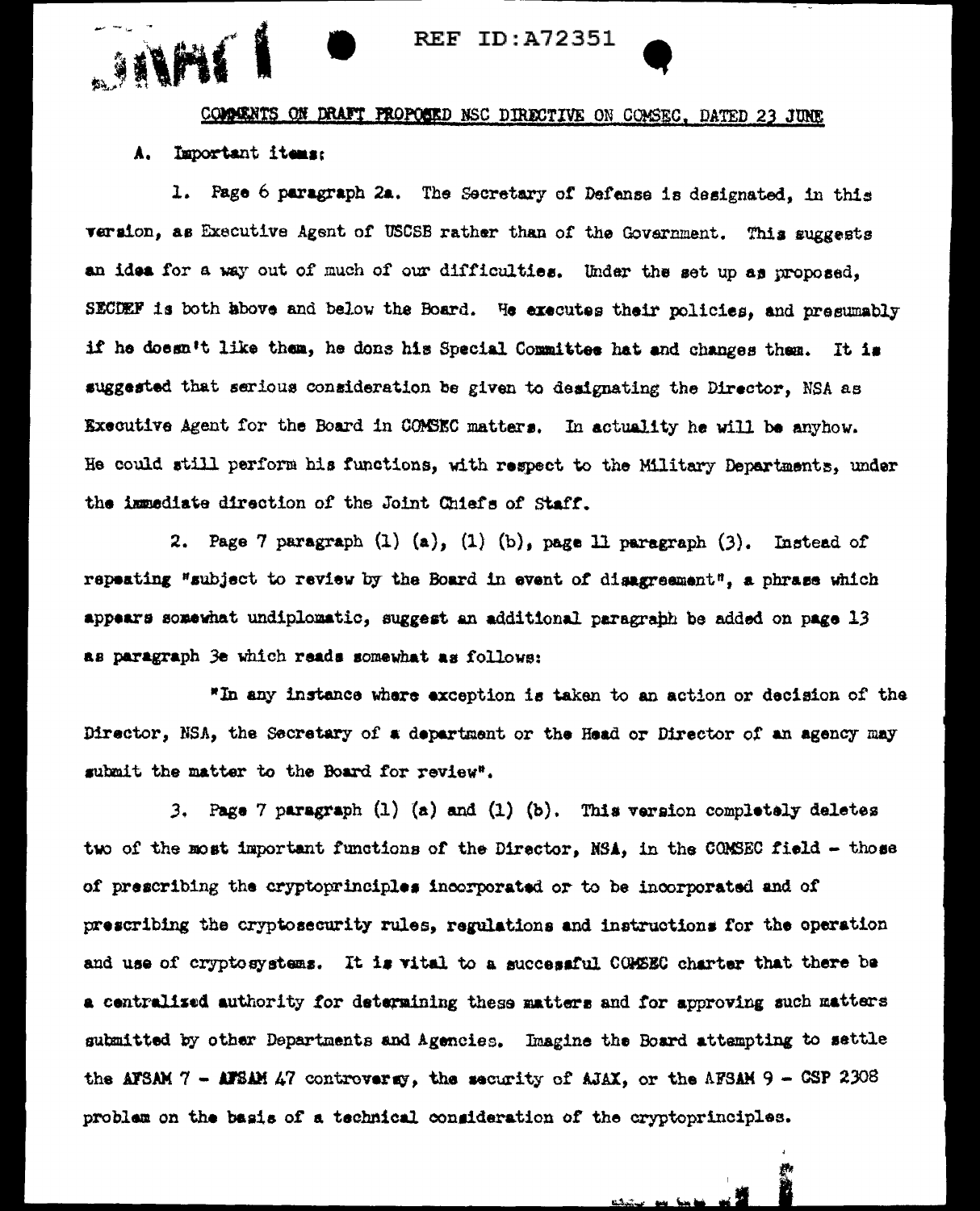

## COMMENTS ON DRAFT PROPOSED NSC DIRECTIVE ON COMSEC, DATED 23 JUNE

## A. Important items:

1. Page 6 paragraph 2a. The Secretary of Defense is designated, in this version, as Executive Agent of USCSB rather than of the Government. This suggests an idea for a way out of much of our difficulties. Under the set up as proposed, SECDEF is both above and below the Board. He executes their policies, and presumably if he doesn't like them, he dons his Special Committee hat and changes them. It is suggested that serious consideration be given to designating the Director, NSA as Executive Agent for the Board in COMSEC matters. In actuality he will be anyhow. He could still perform his functions, with respect to the Military Departments, under the immediate direction of the Joint Chiefs of Staff.

2. Page 7 paragraph (1) (a), (1) (b), page 11 paragraph (3). Instead of repeating "subject to review by the Board in event of disagreement", a phrase which appears somewhat undiplomatic, suggest an additional paragraph be added on page 13 as paragraph 3e which reads somewhat as follows:

"In any instance where exception is taken to an action or decision of the Director, NSA, the Secretary of a department or the Head or Director of an agency may submit the matter to the Board for review".

3. Page 7 paragraph  $(1)$   $(a)$  and  $(1)$   $(b)$ . This version completely deletes two of the most important functions of the Director, NSA, in the CONSEC field - those of prescribing the cryptoprinciples incorporated or to be incorporated and of prescribing the cryptosecurity rules, regulations and instructions for the operation and use of cryptosystems. It is vital to a successful COMSEC charter that there be a centralized authority for determining these matters and for approving such matters submitted by other Departments and Agencies. Imagine the Board attempting to settle the AFSAM 7 - AFSAM 47 controvergy, the security of AJAX, or the AFSAM 9 - CSP 2308 problem on the basis of a technical consideration of the cryptoprinciples.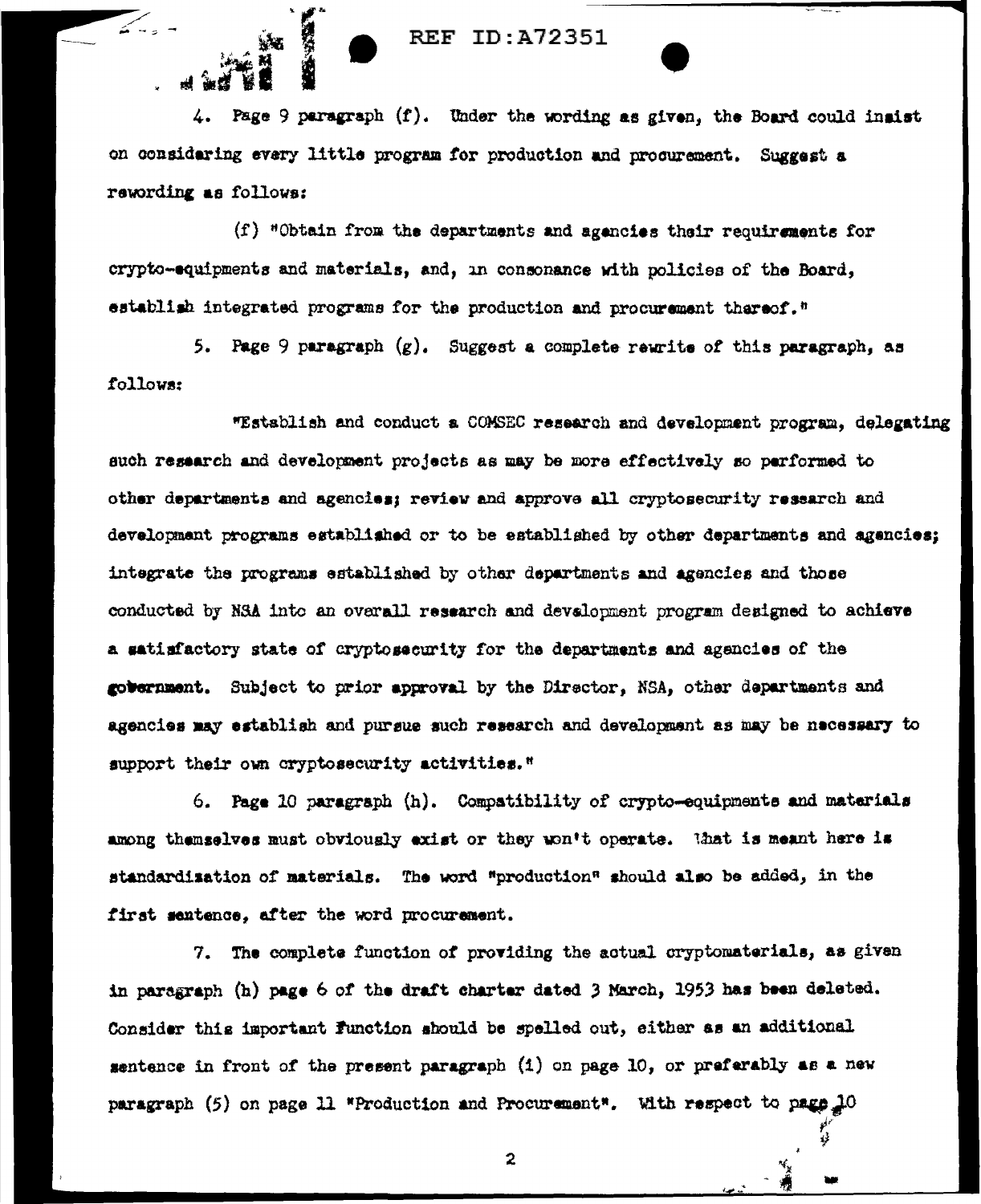## **REF ID: A72351**

4. Page 9 paragraph  $(f)$ . Under the wording as given, the Board could insist on considering every little program for production and procurement. Suggest a rewording as follows:

(f) "Obtain from the departments and agencies their requirements for crypto-equipments and materials, and, in consonance with policies of the Board, establish integrated programs for the production and procurement thereof."

5. Page 9 paragraph  $(g)$ . Suggest a complete rewrite of this paragraph, as follows:

"Establish and conduct a COMSEC research and development program, delegating such research and development projects as may be more effectively so performed to other departments and agencies; review and approve all cryptosecurity research and development programs established or to be established by other departments and agencies; integrate the programs established by other departments and agencies and those conducted by NSA into an overall research and development program designed to achieve a satisfactory state of cryptosecurity for the departments and agencies of the government. Subject to prior approval by the Director, NSA, other departments and agencies may establish and pursue such research and development as may be necessary to support their own cryptosecurity activities."

6. Page 10 paragraph (h). Compatibility of crypto-equipments and materials among themselves must obviously exist or they won't operate. That is meant here is standardization of materials. The word "production" should also be added, in the first sentence, after the word procurement.

7. The complete function of providing the actual cryptomaterials, as given in paragraph (h) page 6 of the draft charter dated 3 March, 1953 has been deleted. Consider this important function should be spelled out, either as an additional sentence in front of the present paragraph (1) on page 10, or preferably as a new paragraph (5) on page 11 "Production and Procurement". With respect to page 10

 $\mathbf{2}$